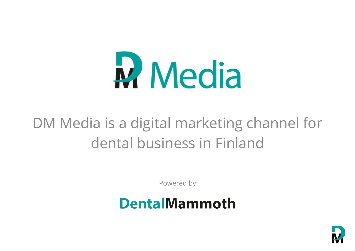

### DM Media is a digital marketing channel for dental business in Finland

Powered by

### **DentalMammoth**

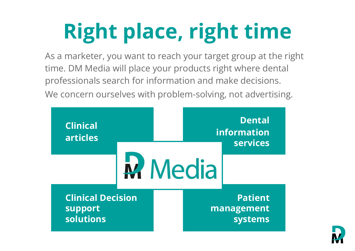# **Right place, right time**

As a marketer, you want to reach your target group at the right time. DM Media will place your products right where dental professionals search for information and make decisions. We concern ourselves with problem-solving, not advertising.



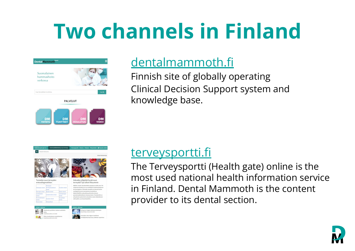## **Two channels in Finland**





### [dentalmammoth.fi](https://www.dentalmammoth.com/fi-fi/)

Finnish site of globally operating Clinical Decision Support system and knowledge base.

|                          | <b>TERVEYSPORTTI</b>                   | Hammaslääketiede ja suun terveys | Terveysportti Etusivu Palaute Yhteystiedot & Kirjaudu sisään |  |                                                                                                                                                                                |                    |
|--------------------------|----------------------------------------|----------------------------------|--------------------------------------------------------------|--|--------------------------------------------------------------------------------------------------------------------------------------------------------------------------------|--------------------|
| Kirjoita hakusana        |                                        |                                  |                                                              |  |                                                                                                                                                                                |                    |
|                          |                                        |                                  |                                                              |  |                                                                                                                                                                                | Selaa tietokantoja |
|                          |                                        |                                  |                                                              |  |                                                                                                                                                                                |                    |
|                          | Tunnetko suun terveyden                |                                  |                                                              |  | Haluatko ylläpitää hyvää suun                                                                                                                                                  |                    |
| erotusdiagnostiikan.     |                                        |                                  |                                                              |  | terveyttä? Syö silloin fiksummin                                                                                                                                               |                    |
| Hampaan oireet           | Hampaan<br>kiinnityskudoksen<br>nireet | Huulten oireet                   |                                                              |  | KRIENS, Sveitsi: Parodontiittia sairastaa arviolta noin 743<br>miljoonaa ihmistä ja se on merkittävä maailmanlaajuinen<br>terveysongelma. Sairauden taustalla on yleensä huono |                    |
| Kasvojen oireet          | Kaulan gireet                          | Kielen gireet                    |                                                              |  | suuhygienia ja sen seurauksena muodostuva                                                                                                                                      |                    |
| Leukaluiden<br>oireet    | Leukanivelen gireet                    | Limakalvoien<br>oireet           |                                                              |  | bakteeribiofilmi, joka johtaa pehmeän ja kovan<br>parodontaalikudoksen tuhoutumiseen. Parodontiitti on                                                                         |                    |
| Puremalihasten<br>oireet | Suulaen oireet                         | Suupohjan<br>oireet              | sekä sydän- ja verisuonitauteihin.                           |  | yhteydessä systeemisiin sairauksiin, kuten diabetekseen                                                                                                                        |                    |

### [terveysportti.fi](https://www.terveysportti.fi/apps/dtk/tod)

The Terveysportti (Health gate) online is the most used national health information service in Finland. Dental Mammoth is the content provider to its dental section.

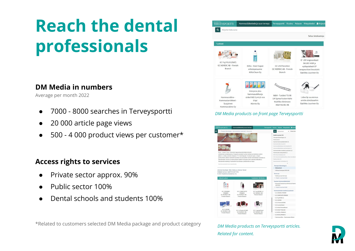### **Reach the dental professionals**

### **DM Media in numbers**

Average per month 2022

- 7000 8000 searches in Terveysportti
- 20 000 article page views
- 500 4 000 product views per customer\*

#### **Access rights to services**

- Private sector approx. 90%
- Public sector 100%
- Dental schools and students 100%

\*Related to customers selected DM Media package and product category



#### *DM Media products on front page Terveysportti*



*DM Media products on Terveysportti articles. Related for content.*

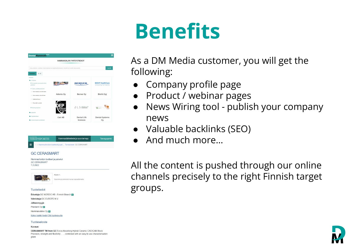## **Benefits**

|                                                                                              | HAMMASAI AN YHTFYSTIFDOT |                    |                                                   |
|----------------------------------------------------------------------------------------------|--------------------------|--------------------|---------------------------------------------------|
| Hae vrityksen, tuotteen, toimenpiteen tai käyttötarkoituksen nimellä tai muulla hakusanalla. |                          |                    | Hae Q                                             |
| $A - \overline{O}$<br>Toimialat                                                              |                          |                    |                                                   |
| Yritykset<br>+ Terveyden ja sairaahoidon<br>palvelut                                         |                          | <b>BERNER</b>      | <b>BIOHIT HealthCare</b><br>Innovating for Health |
| - Tuote- ja lääkeyritykset<br>· Hammasalan tarvikelikkeet<br>· Hammasalan tukkuliikkeen      | Adento Oy                | <b>Berner Oy</b>   | <b>Biohit Oyj</b>                                 |
| · Lääketeollisuus<br>Muut alan tuotteet                                                      |                          |                    |                                                   |
| + Palveluvritykset                                                                           | FCHNOLOG                 | DLS SCIENCES       | <b>Charles</b>                                    |
| <b>In</b> Järjestöt                                                                          |                          |                    |                                                   |
| <b>D</b> Oppilaitokset                                                                       | Cair AB                  | <b>Dental Life</b> | Dental-Systems                                    |
| <b>b</b> Viranomaiset ja laitokset                                                           |                          | Sciences           | Oy                                                |



#### **GC CERASMART**

Hammashoidon tuotteet ja palvelut **GC CERASMART** 7 2 2022



#### Tuotetiedot

Edustaja: GC NORDIC AB - Finnish Branch [1] Valmistaja: GC EUROPE N.V. Jälleenmyyjä: Plandent Oy 2 Hammasväline Oy 3 Katso kaikki tiedot DM-tuotesivulta Tuoteseloste

**Kuvaus** 

**CERASMART TM from GC** Force Absorbing Hybrid Ceramic CAD/CAM Block Precision, strength and flexibility... ... combined with an easy to use characterisation glaze

As a DM Media customer, you will get the following:

- **Company profile page**
- Product / webinar pages
- News Wiring tool publish your company news
- Valuable backlinks (SEO)
- And much more...

All the content is pushed through our online channels precisely to the right Finnish target groups.

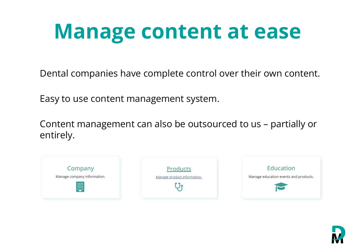## **Manage content at ease**

Dental companies have complete control over their own content.

Easy to use content management system.

Content management can also be outsourced to us – partially or entirely.







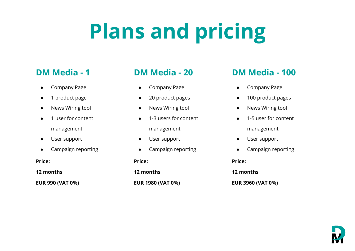# **Plans and pricing**

- Company Page
- 1 product page
- News Wiring tool
- 1 user for content management
- User support
- Campaign reporting

#### **Price:**

**12 months**

**EUR 990 (VAT 0%)**

- Company Page
- 20 product pages
- News Wiring tool
- 1-3 users for content management
- User support
- Campaign reporting

#### **Price:**

**12 months EUR 1980 (VAT 0%)**

### **DM Media - 1 DM Media - 20 DM Media - 100**

- Company Page
- 100 product pages
- News Wiring tool
- 1-5 user for content management
- User support
- Campaign reporting

**Price:**

**12 months**

**EUR 3960 (VAT 0%)**